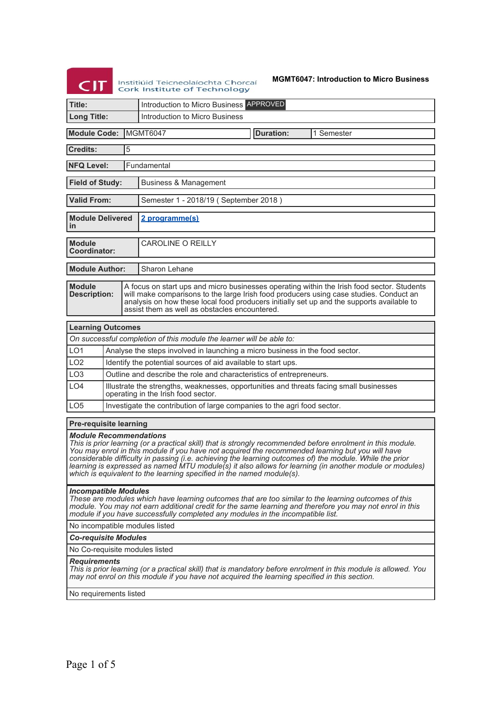# **CIT** Institiúid Teicneolaíochta Chorcaí<br>Cork Institute of Technology

#### **MGMT6047: Introduction to Micro Business**

| Title:                                                                                                                                                                                                                                                                                                                                                                                                                                                                                                                                           | Introduction to Micro Business APPROVED                                                                                        |  |  |
|--------------------------------------------------------------------------------------------------------------------------------------------------------------------------------------------------------------------------------------------------------------------------------------------------------------------------------------------------------------------------------------------------------------------------------------------------------------------------------------------------------------------------------------------------|--------------------------------------------------------------------------------------------------------------------------------|--|--|
| <b>Long Title:</b>                                                                                                                                                                                                                                                                                                                                                                                                                                                                                                                               | Introduction to Micro Business                                                                                                 |  |  |
|                                                                                                                                                                                                                                                                                                                                                                                                                                                                                                                                                  |                                                                                                                                |  |  |
| <b>Module Code:</b>                                                                                                                                                                                                                                                                                                                                                                                                                                                                                                                              | MGMT6047<br><b>Duration:</b><br>1 Semester                                                                                     |  |  |
| 5<br><b>Credits:</b>                                                                                                                                                                                                                                                                                                                                                                                                                                                                                                                             |                                                                                                                                |  |  |
| <b>NFQ Level:</b>                                                                                                                                                                                                                                                                                                                                                                                                                                                                                                                                | Fundamental                                                                                                                    |  |  |
| <b>Field of Study:</b>                                                                                                                                                                                                                                                                                                                                                                                                                                                                                                                           | <b>Business &amp; Management</b>                                                                                               |  |  |
| <b>Valid From:</b>                                                                                                                                                                                                                                                                                                                                                                                                                                                                                                                               | Semester 1 - 2018/19 (September 2018)                                                                                          |  |  |
| <b>Module Delivered</b><br>in                                                                                                                                                                                                                                                                                                                                                                                                                                                                                                                    | 2 programme(s)                                                                                                                 |  |  |
| <b>Module</b><br><b>Coordinator:</b>                                                                                                                                                                                                                                                                                                                                                                                                                                                                                                             | <b>CAROLINE O REILLY</b>                                                                                                       |  |  |
| <b>Module Author:</b>                                                                                                                                                                                                                                                                                                                                                                                                                                                                                                                            | Sharon Lehane                                                                                                                  |  |  |
| <b>Module</b><br>A focus on start ups and micro businesses operating within the Irish food sector. Students<br><b>Description:</b><br>will make comparisons to the large Irish food producers using case studies. Conduct an<br>analysis on how these local food producers initially set up and the supports available to<br>assist them as well as obstacles encountered.                                                                                                                                                                       |                                                                                                                                |  |  |
| <b>Learning Outcomes</b>                                                                                                                                                                                                                                                                                                                                                                                                                                                                                                                         |                                                                                                                                |  |  |
|                                                                                                                                                                                                                                                                                                                                                                                                                                                                                                                                                  | On successful completion of this module the learner will be able to:                                                           |  |  |
| LO <sub>1</sub>                                                                                                                                                                                                                                                                                                                                                                                                                                                                                                                                  | Analyse the steps involved in launching a micro business in the food sector.                                                   |  |  |
| LO <sub>2</sub>                                                                                                                                                                                                                                                                                                                                                                                                                                                                                                                                  | Identify the potential sources of aid available to start ups.                                                                  |  |  |
| LO <sub>3</sub>                                                                                                                                                                                                                                                                                                                                                                                                                                                                                                                                  | Outline and describe the role and characteristics of entrepreneurs.                                                            |  |  |
| LO <sub>4</sub>                                                                                                                                                                                                                                                                                                                                                                                                                                                                                                                                  | Illustrate the strengths, weaknesses, opportunities and threats facing small businesses<br>operating in the Irish food sector. |  |  |
| LO <sub>5</sub>                                                                                                                                                                                                                                                                                                                                                                                                                                                                                                                                  | Investigate the contribution of large companies to the agri food sector.                                                       |  |  |
| Pre-requisite learning                                                                                                                                                                                                                                                                                                                                                                                                                                                                                                                           |                                                                                                                                |  |  |
| <b>Module Recommendations</b><br>This is prior learning (or a practical skill) that is strongly recommended before enrolment in this module.<br>You may enrol in this module if you have not acquired the recommended learning but you will have<br>considerable difficulty in passing (i.e. achieving the learning outcomes of) the module. While the prior<br>learning is expressed as named MTU module(s) it also allows for learning (in another module or modules)<br>which is equivalent to the learning specified in the named module(s). |                                                                                                                                |  |  |
| <b>Incompatible Modules</b><br>These are modules which have learning outcomes that are too similar to the learning outcomes of this<br>module. You may not earn additional credit for the same learning and therefore you may not enrol in this<br>module if you have successfully completed any modules in the incompatible list.                                                                                                                                                                                                               |                                                                                                                                |  |  |
| No incompatible modules listed                                                                                                                                                                                                                                                                                                                                                                                                                                                                                                                   |                                                                                                                                |  |  |
| <b>Co-requisite Modules</b>                                                                                                                                                                                                                                                                                                                                                                                                                                                                                                                      |                                                                                                                                |  |  |
| No Co-requisite modules listed                                                                                                                                                                                                                                                                                                                                                                                                                                                                                                                   |                                                                                                                                |  |  |
| <b>Requirements</b><br>This is prior learning (or a practical skill) that is mandatory before enrolment in this module is allowed. You<br>may not enrol on this module if you have not acquired the learning specified in this section.                                                                                                                                                                                                                                                                                                          |                                                                                                                                |  |  |
| No requirements listed                                                                                                                                                                                                                                                                                                                                                                                                                                                                                                                           |                                                                                                                                |  |  |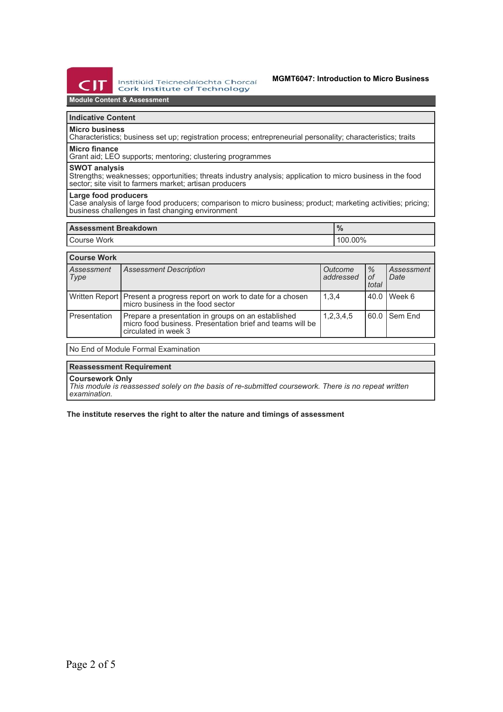

## **Module Content & Assessment**

# **Indicative Content**

**Micro business**

Characteristics; business set up; registration process; entrepreneurial personality; characteristics; traits **Micro finance**

Grant aid; LEO supports; mentoring; clustering programmes

#### **SWOT analysis**

Strengths; weaknesses; opportunities; threats industry analysis; application to micro business in the food sector; site visit to farmers market; artisan producers

#### **Large food producers**

Case analysis of large food producers; comparison to micro business; product; marketing activities; pricing; business challenges in fast changing environment

| <b>Assessment Breakdown</b> | $\Omega$<br>70 |  |
|-----------------------------|----------------|--|
| I Course Work               | 100.00%        |  |

| <b>Course Work</b> |                                                                                                                                         |                             |                     |                    |  |
|--------------------|-----------------------------------------------------------------------------------------------------------------------------------------|-----------------------------|---------------------|--------------------|--|
| Assessment<br>Type | <b>Assessment Description</b>                                                                                                           | <b>Outcome</b><br>addressed | $\%$<br>οf<br>total | Assessment<br>Date |  |
|                    | Written Report   Present a progress report on work to date for a chosen<br>micro business in the food sector                            | 1,3,4                       |                     | 40.0 Week 6        |  |
| Presentation       | Prepare a presentation in groups on an established<br>micro food business. Presentation brief and teams will be<br>circulated in week 3 | 1,2,3,4,5                   |                     | 60.0 Sem End       |  |
|                    |                                                                                                                                         |                             |                     |                    |  |

No End of Module Formal Examination

#### **Reassessment Requirement**

**Coursework Only**

*This module is reassessed solely on the basis of re-submitted coursework. There is no repeat written examination.*

**The institute reserves the right to alter the nature and timings of assessment**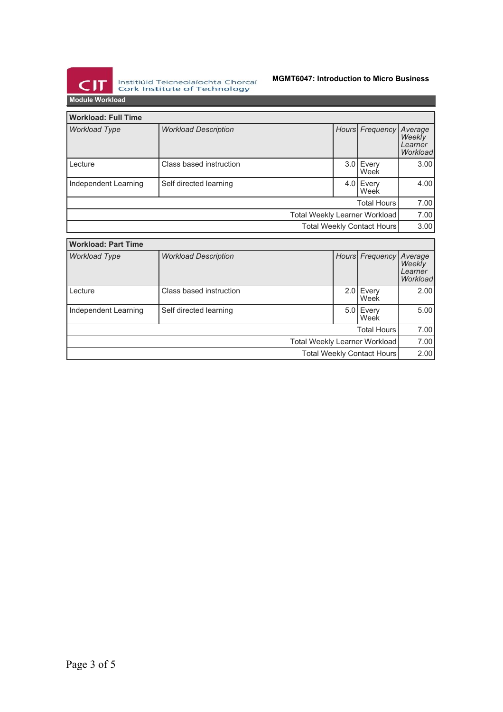

Institiúid Teicneolaíochta Chorcaí<br>Cork Institute of Technology

### **MGMT6047: Introduction to Micro Business**

| <b>Workload: Full Time</b> |                             |                               |      |                            |                                          |
|----------------------------|-----------------------------|-------------------------------|------|----------------------------|------------------------------------------|
| <b>Workload Type</b>       | <b>Workload Description</b> |                               |      | Hours Frequency            | Average<br>Weekly<br>Learner<br>Workload |
| Lecture                    | Class based instruction     |                               | 3.01 | Every<br>Week              | 3.00                                     |
| Independent Learning       | Self directed learning      |                               |      | 4.0 Every<br>Week          | 4.00                                     |
|                            |                             |                               |      | Total Hours                | 7.00                                     |
|                            |                             | Total Weekly Learner Workload |      |                            | 7.00                                     |
|                            |                             |                               |      | Total Weekly Contact Hours | 3.00                                     |
|                            |                             |                               |      |                            |                                          |
| <b>Workload: Part Time</b> |                             |                               |      |                            |                                          |
| <b>Workload Type</b>       | <b>Workload Description</b> |                               |      | Hours Frequency Average    |                                          |

| Hours Frequency<br><b>Workload Type</b><br><b>Workload Description</b><br>Weekly<br>Learner<br>Lecture<br>Class based instruction<br>$2.0$ Every<br>Week<br>Independent Learning<br>Self directed learning<br>5.0 Every<br>Week<br><b>Total Hours</b><br>Total Weekly Learner Workload<br>Total Weekly Contact Hours |  |  |  |      |      |                     |
|----------------------------------------------------------------------------------------------------------------------------------------------------------------------------------------------------------------------------------------------------------------------------------------------------------------------|--|--|--|------|------|---------------------|
|                                                                                                                                                                                                                                                                                                                      |  |  |  |      |      | Average<br>Workload |
|                                                                                                                                                                                                                                                                                                                      |  |  |  |      |      | 2.00                |
|                                                                                                                                                                                                                                                                                                                      |  |  |  |      |      | 5.00                |
|                                                                                                                                                                                                                                                                                                                      |  |  |  |      |      | 7.00                |
|                                                                                                                                                                                                                                                                                                                      |  |  |  | 7.00 |      |                     |
|                                                                                                                                                                                                                                                                                                                      |  |  |  |      | 2.00 |                     |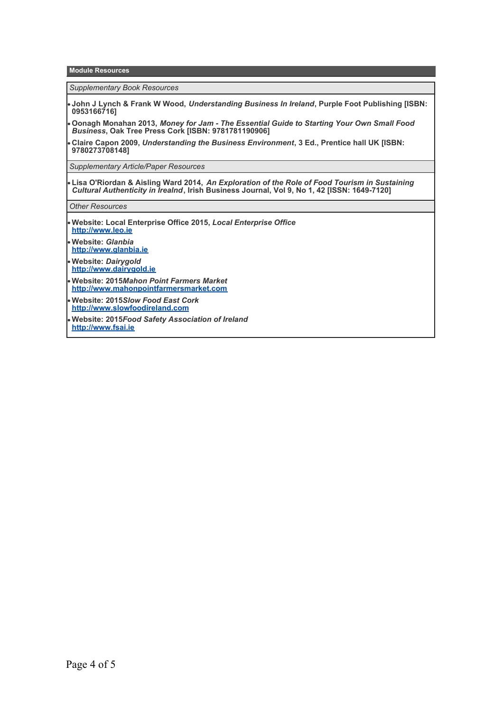**Module Resources**

*Supplementary Book Resources*

- **John J Lynch & Frank W Wood,** *Understanding Business In Ireland***, Purple Foot Publishing [ISBN: 0953166716]**
- **Oonagh Monahan 2013,** *Money for Jam The Essential Guide to Starting Your Own Small Food Business***, Oak Tree Press Cork [ISBN: 9781781190906]**
- **Claire Capon 2009,** *Understanding the Business Environment***, 3 Ed., Prentice hall UK [ISBN: 9780273708148]**

*Supplementary Article/Paper Resources*

**Lisa O'Riordan & Aisling Ward 2014,** *An Exploration of the Role of Food Tourism in Sustaining Cultural Authenticity in Irealnd***, Irish Business Journal, Vol 9, No 1, 42 [ISSN: 1649-7120]**

*Other Resources*

- **Website: Local Enterprise Office 2015,** *Local Enterprise Office* **<http://www.leo.ie>**
- **Website:** *Glanbia* **<http://www.glanbia.ie>**
- **Website:** *Dairygold* **<http://www.dairygold.ie>**
- **Website: 2015***Mahon Point Farmers Market* **<http://www.mahonpointfarmersmarket.com>**
- **Website: 2015***Slow Food East Cork* **<http://www.slowfoodireland.com>**
- **Website: 2015***Food Safety Association of Ireland* **<http://www.fsai.ie>**